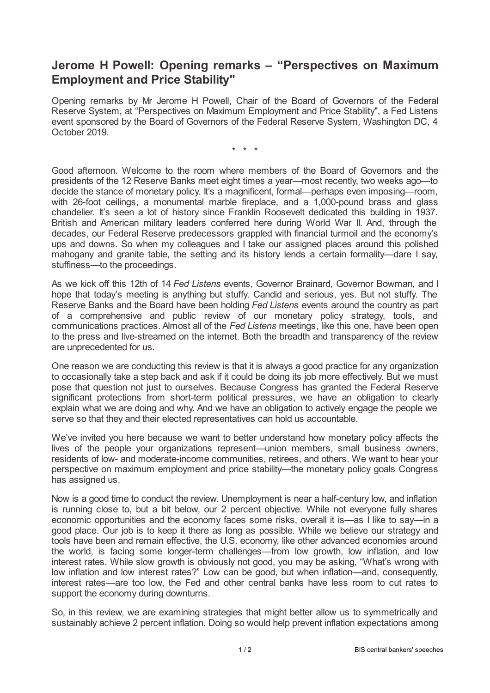## **Jerome H Powell: Opening remarks – "Perspectives on Maximum Employment and Price Stability"**

Opening remarks by Mr Jerome H Powell, Chair of the Board of Governors of the Federal Reserve System, at "Perspectives on Maximum Employment and Price Stability", a Fed Listens event sponsored by the Board of Governors of the Federal Reserve System, Washington DC, 4 October 2019.

\* \* \*

Good afternoon. Welcome to the room where members of the Board of Governors and the presidents of the 12 Reserve Banks meet eight times a year—most recently, two weeks ago—to decide the stance of monetary policy. It's a magnificent, formal—perhaps even imposing—room, with 26-foot ceilings, a monumental marble fireplace, and a 1,000-pound brass and glass chandelier. It's seen a lot of history since Franklin Roosevelt dedicated this building in 1937. British and American military leaders conferred here during World War II. And, through the decades, our Federal Reserve predecessors grappled with financial turmoil and the economy's ups and downs. So when my colleagues and I take our assigned places around this polished mahogany and granite table, the setting and its history lends a certain formality—dare I say, stuffiness—to the proceedings.

As we kick off this 12th of 14 *Fed Listens* events, Governor Brainard, Governor Bowman, and I hope that today's meeting is anything but stuffy. Candid and serious, yes. But not stuffy. The Reserve Banks and the Board have been holding *Fed Listens* events around the country as part of a comprehensive and public review of our monetary policy strategy, tools, and communications practices. Almost all of the *Fed Listens* meetings, like this one, have been open to the press and live-streamed on the internet. Both the breadth and transparency of the review are unprecedented for us.

One reason we are conducting this review is that it is always a good practice for any organization to occasionally take a step back and ask if it could be doing its job more effectively. But we must pose that question not just to ourselves. Because Congress has granted the Federal Reserve significant protections from short-term political pressures, we have an obligation to clearly explain what we are doing and why. And we have an obligation to actively engage the people we serve so that they and their elected representatives can hold us accountable.

We've invited you here because we want to better understand how monetary policy affects the lives of the people your organizations represent—union members, small business owners, residents of low- and moderate-income communities, retirees, and others. We want to hear your perspective on maximum employment and price stability—the monetary policy goals Congress has assigned us.

Now is a good time to conduct the review. Unemployment is near a half-century low, and inflation is running close to, but a bit below, our 2 percent objective. While not everyone fully shares economic opportunities and the economy faces some risks, overall it is—as I like to say—in a good place. Our job is to keep it there as long as possible. While we believe our strategy and tools have been and remain effective, the U.S. economy, like other advanced economies around the world, is facing some longer-term challenges—from low growth, low inflation, and low interest rates. While slow growth is obviously not good, you may be asking, "What's wrong with low inflation and low interest rates?" Low can be good, but when inflation—and, consequently, interest rates—are too low, the Fed and other central banks have less room to cut rates to support the economy during downturns.

So, in this review, we are examining strategies that might better allow us to symmetrically and sustainably achieve 2 percent inflation. Doing so would help prevent inflation expectations among